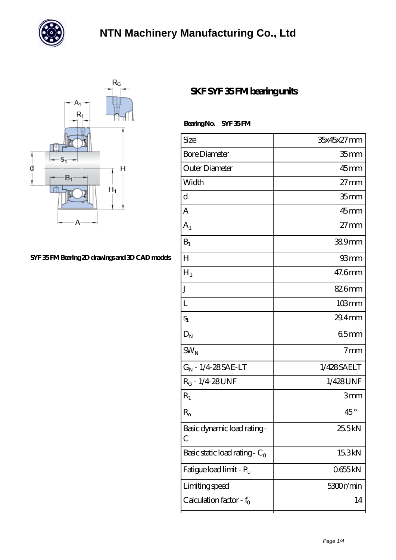



### **[SYF 35 FM Bearing 2D drawings and 3D CAD models](https://chatadresleri.com/pic-42655.html)**

### **[SKF SYF 35 FM bearing units](https://chatadresleri.com/bs-42655-skf-syf-35-fm-bearing-units.html)**

Bearing No. SYF 35 FM

| Size                                | 35x45x27 mm        |
|-------------------------------------|--------------------|
| <b>Bore Diameter</b>                | 35 mm              |
| Outer Diameter                      | $45$ mm            |
| Width                               | $27 \text{mm}$     |
| d                                   | 35 <sub>mm</sub>   |
| А                                   | $45$ mm            |
| $A_1$                               | $27 \text{mm}$     |
| $B_1$                               | 389mm              |
| $H_{\rm 1}$                         | 93 mm              |
| $H_1$                               | 47.6mm             |
| J                                   | 826mm              |
| L                                   | $103 \, \text{mm}$ |
| $S_1$                               | $29.4$ mm          |
| $\mathbf{D}_\text{N}$               | 65mm               |
| $SW_{N}$                            | 7 <sub>mm</sub>    |
| $G_N$ - $1/4$ 28 SAE-LT             | 1/428SAELT         |
| $R_G - 1/4.28$ UNF                  | 1/428UNF           |
| $R_1$                               | 3mm                |
| $\mathbb{R}$                        | $45^{\circ}$       |
| Basic dynamic load rating-<br>С     | 25.5kN             |
| Basic static load rating - $C_0$    | 15.3kN             |
| Fatigue load limit - P <sub>u</sub> | 0655kN             |
| Limiting speed                      | 5300r/min          |
| Calculation factor - $f_0$          | 14                 |
|                                     |                    |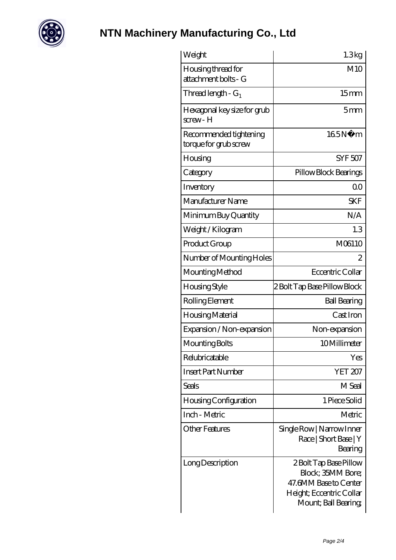

# **[NTN Machinery Manufacturing Co., Ltd](https://chatadresleri.com)**

| Weight                                          | 1.3kg                                                                                                                    |
|-------------------------------------------------|--------------------------------------------------------------------------------------------------------------------------|
| Housing thread for<br>attachment bolts - G      | M10                                                                                                                      |
| Thread length - ${\rm G}_1$                     | 15 <sub>mm</sub>                                                                                                         |
| Hexagonal key size for grub<br>screw- H         | 5mm                                                                                                                      |
| Recommended tightening<br>torque for grub screw | 165N<br>m                                                                                                                |
| Housing                                         | <b>SYF 507</b>                                                                                                           |
| Category                                        | Pillow Block Bearings                                                                                                    |
| Inventory                                       | 0 <sup>0</sup>                                                                                                           |
| Manufacturer Name                               | <b>SKF</b>                                                                                                               |
| Minimum Buy Quantity                            | N/A                                                                                                                      |
| Weight / Kilogram                               | 1.3                                                                                                                      |
| Product Group                                   | M06110                                                                                                                   |
| Number of Mounting Holes                        | $\overline{2}$                                                                                                           |
| Mounting Method                                 | Eccentric Collar                                                                                                         |
| Housing Style                                   | 2 Bolt Tap Base Pillow Block                                                                                             |
| Rolling Element                                 | <b>Ball Bearing</b>                                                                                                      |
| Housing Material                                | Cast Iron                                                                                                                |
| Expansion / Non-expansion                       | Non-expansion                                                                                                            |
| Mounting Bolts                                  | 10Millimeter                                                                                                             |
| Relubricatable                                  | Yes                                                                                                                      |
| Insert Part Number                              | YET 207                                                                                                                  |
| Seals                                           | M Seal                                                                                                                   |
| Housing Configuration                           | 1 Piece Solid                                                                                                            |
| Inch - Metric                                   | Metric                                                                                                                   |
| Other Features                                  | Single Row   Narrow Inner<br>Race   Short Base   Y<br>Bearing                                                            |
| Long Description                                | 2 Bolt Tap Base Pillow<br>Block; 35MM Bore;<br>47.6MM Base to Center<br>Height; Eccentric Collar<br>Mount; Ball Bearing; |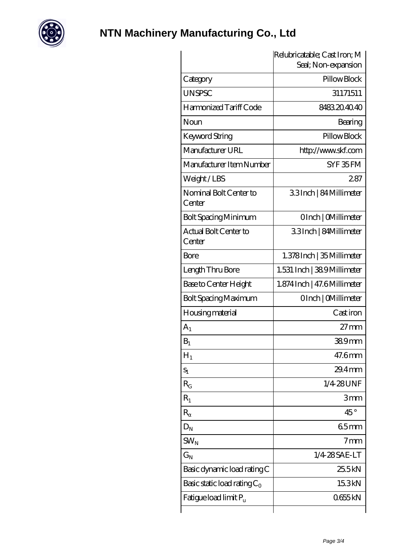

# **[NTN Machinery Manufacturing Co., Ltd](https://chatadresleri.com)**

|                                   | Relubricatable; Cast Iron; M<br>Seal; Non-expansion |
|-----------------------------------|-----------------------------------------------------|
| Category                          | Pillow Block                                        |
| <b>UNSPSC</b>                     | 31171511                                            |
| Harmonized Tariff Code            | 8483204040                                          |
| Noun                              | Bearing                                             |
| Keyword String                    | Pillow Block                                        |
| Manufacturer URL                  | http://www.skf.com                                  |
| Manufacturer Item Number          | SYF 35FM                                            |
| Weight/LBS                        | 287                                                 |
| Nominal Bolt Center to<br>Center  | 33Inch   84 Millimeter                              |
| <b>Bolt Spacing Minimum</b>       | OInch   CMillimeter                                 |
| Actual Bolt Center to<br>Center   | 33Inch   84Millimeter                               |
| Bore                              | 1.378Inch   35 Millimeter                           |
| Length Thru Bore                  | 1.531 Inch   38.9Millimeter                         |
| Base to Center Height             | 1.874 Inch   47.6 Millimeter                        |
| Bolt Spacing Maximum              | OInch   CMillimeter                                 |
| Housing material                  | Cast iron                                           |
| A <sub>1</sub>                    | $27 \text{mm}$                                      |
| $B_1$                             | 389mm                                               |
| $H_1$                             | 47.6mm                                              |
| $S_1$                             | $29.4$ mm                                           |
| $R_G$                             | 1/4 28 UNF                                          |
| $R_1$                             | 3mm                                                 |
| $\mathbb R$                       | $45^{\circ}$                                        |
| $D_N$                             | 65mm                                                |
| $SW_{N}$                          | 7 <sub>mm</sub>                                     |
| $G_N$                             | 1/4 28 SAE-LT                                       |
| Basic dynamic load rating C       | 25.5kN                                              |
| Basic static load rating $C_0$    | 15.3kN                                              |
| Fatigue load limit P <sub>u</sub> | 0655kN                                              |
|                                   |                                                     |